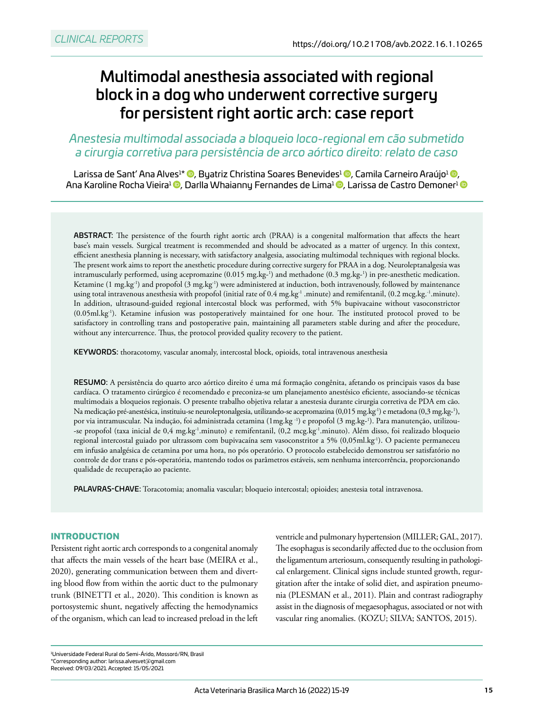# Multimodal anesthesia associated with regional block in a dog who underwent corrective surgery for persistent right aortic arch: case report

## *Anestesia multimodal associada a bloqueio loco-regional em cão submetido a cirurgia corretiva para persistência de arco aórtico direito: relato de caso*

Larissa de Sant' Ana Alves<sup>1\*</sup> ©[,](https://orcid.org/0000-0002-1625-3585) Byatriz Christina Soares Benevides<sup>1</sup> ©, Camila Carneiro Araújo<sup>1</sup> ©, Ana Karoline Rocha Vieira<sup>1</sup> **©**, Darlla Whaianny Fernandes de Lima<sup>1</sup> ©, Larissa de Castro Demoner<sup>1</sup> ©

ABSTRACT: The persistence of the fourth right aortic arch (PRAA) is a congenital malformation that affects the heart base's main vessels. Surgical treatment is recommended and should be advocated as a matter of urgency. In this context, efficient anesthesia planning is necessary, with satisfactory analgesia, associating multimodal techniques with regional blocks. The present work aims to report the anesthetic procedure during corrective surgery for PRAA in a dog. Neuroleptanalgesia was intramuscularly performed, using acepromazine (0.015 [mg.kg-](http://mg.kg)1 ) and methadone (0.3 [mg.kg-](http://mg.kg)1 ) in pre-anesthetic medication. Ketamine (1 [mg.kg](http://mg.kg)-1) and propofol (3 [mg.kg-](http://mg.kg)1) were administered at induction, both intravenously, followed by maintenance using total intravenous anesthesia with propofol (initial rate of 0.4 [mg.kg-](http://mg.kg)1 .minute) and remifentanil, (0.2 [mcg.kg](http://mcg.kg).-1.minute). In addition, ultrasound-guided regional intercostal block was performed, with 5% bupivacaine without vasoconstrictor (0.05[ml.kg-](http://ml.kg)1). Ketamine infusion was postoperatively maintained for one hour. The instituted protocol proved to be satisfactory in controlling trans and postoperative pain, maintaining all parameters stable during and after the procedure, without any intercurrence. Thus, the protocol provided quality recovery to the patient.

KEYWORDS: thoracotomy, vascular anomaly, intercostal block, opioids, total intravenous anesthesia

RESUMO: A persistência do quarto arco aórtico direito é uma má formação congênita, afetando os principais vasos da base cardíaca. O tratamento cirúrgico é recomendado e preconiza-se um planejamento anestésico eficiente, associando-se técnicas multimodais a bloqueios regionais. O presente trabalho objetiva relatar a anestesia durante cirurgia corretiva de PDA em cão. Na medicação pré-anestésica, instituiu-se neuroleptonalgesia, utilizando-se acepromazina (0,015 mg.kg<sup>-</sup>1) e metadona (0,3 [mg.kg-](http://mg.kg)<sup>1</sup>), por via intramuscular. Na indução, foi administrada cetamina (1[mg.kg](http://mg.kg) -1) e propofol (3 [mg.kg-](http://mg.kg)1 ). Para manutenção, utilizou- -se propofol (taxa inicial de 0,4 [mg.kg-](http://mg.kg)1.minuto) e remifentanil, (0,2 [mcg.kg-](http://mcg.kg)1.minuto). Além disso, foi realizado bloqueio regional intercostal guiado por ultrassom com bupivacaína sem vasoconstritor a 5% (0,05[ml.kg-](http://ml.kg)1). O paciente permaneceu em infusão analgésica de cetamina por uma hora, no pós operatório. O protocolo estabelecido demonstrou ser satisfatório no controle de dor trans e pós-operatória, mantendo todos os parâmetros estáveis, sem nenhuma intercorrência, proporcionando qualidade de recuperação ao paciente.

PALAVRAS-CHAVE: Toracotomia; anomalia vascular; bloqueio intercostal; opioides; anestesia total intravenosa.

#### **INTRODUCTION**

Persistent right aortic arch corresponds to a congenital anomaly that affects the main vessels of the heart base (MEIRA et al., 2020), generating communication between them and diverting blood flow from within the aortic duct to the pulmonary trunk (BINETTI et al., 2020). This condition is known as portosystemic shunt, negatively affecting the hemodynamics of the organism, which can lead to increased preload in the left

ventricle and pulmonary hypertension (MILLER; GAL, 2017). The esophagus is secondarily affected due to the occlusion from the ligamentum arteriosum, consequently resulting in pathological enlargement. Clinical signs include stunted growth, regurgitation after the intake of solid diet, and aspiration pneumonia (PLESMAN et al., 2011). Plain and contrast radiography assist in the diagnosis of megaesophagus, associated or not with vascular ring anomalies. (KOZU; SILVA; SANTOS, 2015).

<sup>1</sup> Universidade Federal Rural do Semi-Árido, Mossoró/RN, Brasil \*Corresponding author: [larissa.alvesvet@gmail.com](mailto:larissa.alvesvet@gmail.com)  Received: 09/03/2021. Accepted: 15/05/2021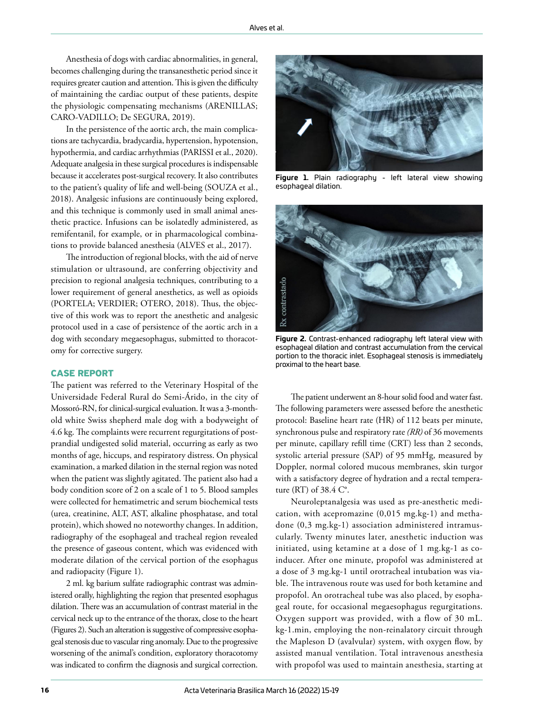Anesthesia of dogs with cardiac abnormalities, in general, becomes challenging during the transanesthetic period since it requires greater caution and attention. This is given the difficulty of maintaining the cardiac output of these patients, despite the physiologic compensating mechanisms (ARENILLAS; CARO-VADILLO; De SEGURA, 2019).

In the persistence of the aortic arch, the main complications are tachycardia, bradycardia, hypertension, hypotension, hypothermia, and cardiac arrhythmias (PARISSI et al., 2020). Adequate analgesia in these surgical procedures is indispensable because it accelerates post-surgical recovery. It also contributes to the patient's quality of life and well-being (SOUZA et al., 2018). Analgesic infusions are continuously being explored, and this technique is commonly used in small animal anesthetic practice. Infusions can be isolatedly administered, as remifentanil, for example, or in pharmacological combinations to provide balanced anesthesia (ALVES et al., 2017).

The introduction of regional blocks, with the aid of nerve stimulation or ultrasound, are conferring objectivity and precision to regional analgesia techniques, contributing to a lower requirement of general anesthetics, as well as opioids (PORTELA; VERDIER; OTERO, 2018). Thus, the objective of this work was to report the anesthetic and analgesic protocol used in a case of persistence of the aortic arch in a dog with secondary megaesophagus, submitted to thoracotomy for corrective surgery.

#### **CASE REPORT**

The patient was referred to the Veterinary Hospital of the Universidade Federal Rural do Semi-Árido, in the city of Mossoró-RN, for clinical-surgical evaluation. It was a 3-monthold white Swiss shepherd male dog with a bodyweight of 4.6 kg. The complaints were recurrent regurgitations of postprandial undigested solid material, occurring as early as two months of age, hiccups, and respiratory distress. On physical examination, a marked dilation in the sternal region was noted when the patient was slightly agitated. The patient also had a body condition score of 2 on a scale of 1 to 5. Blood samples were collected for hematimetric and serum biochemical tests (urea, creatinine, ALT, AST, alkaline phosphatase, and total protein), which showed no noteworthy changes. In addition, radiography of the esophageal and tracheal region revealed the presence of gaseous content, which was evidenced with moderate dilation of the cervical portion of the esophagus and radiopacity (Figure 1).

2 ml. kg barium sulfate radiographic contrast was administered orally, highlighting the region that presented esophagus dilation. There was an accumulation of contrast material in the cervical neck up to the entrance of the thorax, close to the heart (Figures 2). Such an alteration is suggestive of compressive esophageal stenosis due to vascular ring anomaly. Due to the progressive worsening of the animal's condition, exploratory thoracotomy was indicated to confirm the diagnosis and surgical correction.



**Figure 1.** Plain radiography - left lateral view showing esophageal dilation.



**Figure 2.** Contrast-enhanced radiography left lateral view with esophageal dilation and contrast accumulation from the cervical portion to the thoracic inlet. Esophageal stenosis is immediately proximal to the heart base.

The patient underwent an 8-hour solid food and water fast. The following parameters were assessed before the anesthetic protocol: Baseline heart rate (HR) of 112 beats per minute, synchronous pulse and respiratory rate *(RR)* of 36 movements per minute, capillary refill time (CRT) less than 2 seconds, systolic arterial pressure (SAP) of 95 mmHg, measured by Doppler, normal colored mucous membranes, skin turgor with a satisfactory degree of hydration and a rectal temperature (RT) of 38.4 C°.

Neuroleptanalgesia was used as pre-anesthetic medication, with acepromazine (0,015 [mg.kg-](http://mg.kg)1) and methadone (0,3 [mg.kg](http://mg.kg)-1) association administered intramuscularly. Twenty minutes later, anesthetic induction was initiated, using ketamine at a dose of 1 [mg.kg](http://mg.kg)-1 as coinducer. After one minute, propofol was administered at a dose of 3 [mg.kg](http://mg.kg)-1 until orotracheal intubation was viable. The intravenous route was used for both ketamine and propofol. An orotracheal tube was also placed, by esophageal route, for occasional megaesophagus regurgitations. Oxygen support was provided, with a flow of 30 [mL.](http://mL.kg) [kg](http://mL.kg)-1.min, employing the non-reinalatory circuit through the Mapleson D (avalvular) system, with oxygen flow, by assisted manual ventilation. Total intravenous anesthesia with propofol was used to maintain anesthesia, starting at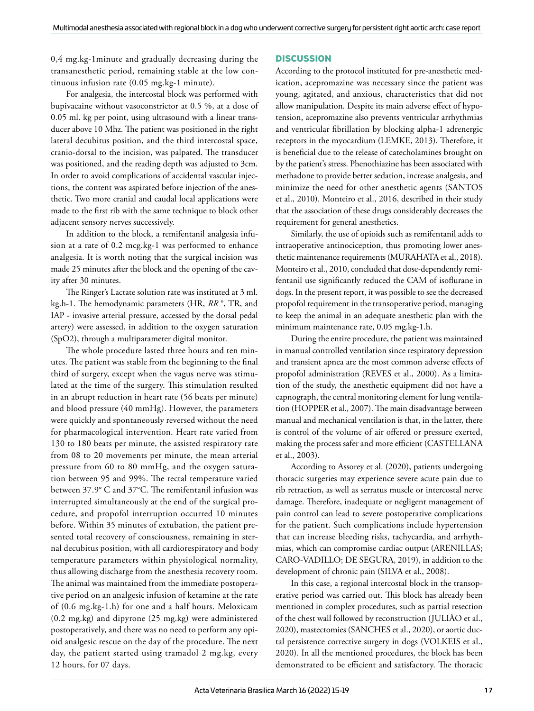0,4 [mg.kg-](http://mg.kg)1minute and gradually decreasing during the transanesthetic period, remaining stable at the low continuous infusion rate (0.05 [mg.kg](http://mg.kg)-1 minute).

For analgesia, the intercostal block was performed with bupivacaine without vasoconstrictor at 0.5 %, at a dose of 0.05 ml. kg per point, using ultrasound with a linear transducer above 10 Mhz. The patient was positioned in the right lateral decubitus position, and the third intercostal space, cranio-dorsal to the incision, was palpated. The transducer was positioned, and the reading depth was adjusted to 3cm. In order to avoid complications of accidental vascular injections, the content was aspirated before injection of the anesthetic. Two more cranial and caudal local applications were made to the first rib with the same technique to block other adjacent sensory nerves successively.

In addition to the block, a remifentanil analgesia infusion at a rate of 0.2 [mcg.kg](http://mcg.kg)-1 was performed to enhance analgesia. It is worth noting that the surgical incision was made 25 minutes after the block and the opening of the cavity after 30 minutes.

The Ringer's Lactate solution rate was instituted at 3 [ml.](http://ml.kg) [kg](http://ml.kg).h-1. The hemodynamic parameters (HR, *RR* °, TR, and IAP - invasive arterial pressure, accessed by the dorsal pedal artery) were assessed, in addition to the oxygen saturation (SpO2), through a multiparameter digital monitor.

The whole procedure lasted three hours and ten minutes. The patient was stable from the beginning to the final third of surgery, except when the vagus nerve was stimulated at the time of the surgery. This stimulation resulted in an abrupt reduction in heart rate (56 beats per minute) and blood pressure (40 mmHg). However, the parameters were quickly and spontaneously reversed without the need for pharmacological intervention. Heart rate varied from 130 to 180 beats per minute, the assisted respiratory rate from 08 to 20 movements per minute, the mean arterial pressure from 60 to 80 mmHg, and the oxygen saturation between 95 and 99%. The rectal temperature varied between 37.9° C and 37°C. The remifentanil infusion was interrupted simultaneously at the end of the surgical procedure, and propofol interruption occurred 10 minutes before. Within 35 minutes of extubation, the patient presented total recovery of consciousness, remaining in sternal decubitus position, with all cardiorespiratory and body temperature parameters within physiological normality, thus allowing discharge from the anesthesia recovery room. The animal was maintained from the immediate postoperative period on an analgesic infusion of ketamine at the rate of (0.6 [mg.kg](http://mg.kg)-1.h) for one and a half hours. Meloxicam (0.2 [mg.kg](http://mg.kg)) and dipyrone (25 [mg.kg](http://mg.kg)) were administered postoperatively, and there was no need to perform any opioid analgesic rescue on the day of the procedure. The next day, the patient started using tramadol 2 [mg.kg,](http://mg.kg) every 12 hours, for 07 days.

#### **DISCUSSION**

According to the protocol instituted for pre-anesthetic medication, acepromazine was necessary since the patient was young, agitated, and anxious, characteristics that did not allow manipulation. Despite its main adverse effect of hypotension, acepromazine also prevents ventricular arrhythmias and ventricular fibrillation by blocking alpha-1 adrenergic receptors in the myocardium (LEMKE, 2013). Therefore, it is beneficial due to the release of catecholamines brought on by the patient's stress. Phenothiazine has been associated with methadone to provide better sedation, increase analgesia, and minimize the need for other anesthetic agents (SANTOS et al., 2010). Monteiro et al., 2016, described in their study that the association of these drugs considerably decreases the requirement for general anesthetics.

Similarly, the use of opioids such as remifentanil adds to intraoperative antinociception, thus promoting lower anesthetic maintenance requirements (MURAHATA et al., 2018). Monteiro et al., 2010, concluded that dose-dependently remifentanil use significantly reduced the CAM of isoflurane in dogs. In the present report, it was possible to see the decreased propofol requirement in the transoperative period, managing to keep the animal in an adequate anesthetic plan with the minimum maintenance rate, 0.05 [mg.kg](http://mg.kg)-1.h.

During the entire procedure, the patient was maintained in manual controlled ventilation since respiratory depression and transient apnea are the most common adverse effects of propofol administration (REVES et al., 2000). As a limitation of the study, the anesthetic equipment did not have a capnograph, the central monitoring element for lung ventilation (HOPPER et al., 2007). The main disadvantage between manual and mechanical ventilation is that, in the latter, there is control of the volume of air offered or pressure exerted, making the process safer and more efficient (CASTELLANA et al., 2003).

According to Assorey et al. (2020), patients undergoing thoracic surgeries may experience severe acute pain due to rib retraction, as well as serratus muscle or intercostal nerve damage. Therefore, inadequate or negligent management of pain control can lead to severe postoperative complications for the patient. Such complications include hypertension that can increase bleeding risks, tachycardia, and arrhythmias, which can compromise cardiac output (ARENILLAS; CARO-VADILLO; DE SEGURA, 2019), in addition to the development of chronic pain (SILVA et al., 2008).

In this case, a regional intercostal block in the transoperative period was carried out. This block has already been mentioned in complex procedures, such as partial resection of the chest wall followed by reconstruction (JULIÃO et al., 2020), mastectomies (SANCHES et al., 2020), or aortic ductal persistence corrective surgery in dogs (VOLKEIS et al., 2020). In all the mentioned procedures, the block has been demonstrated to be efficient and satisfactory. The thoracic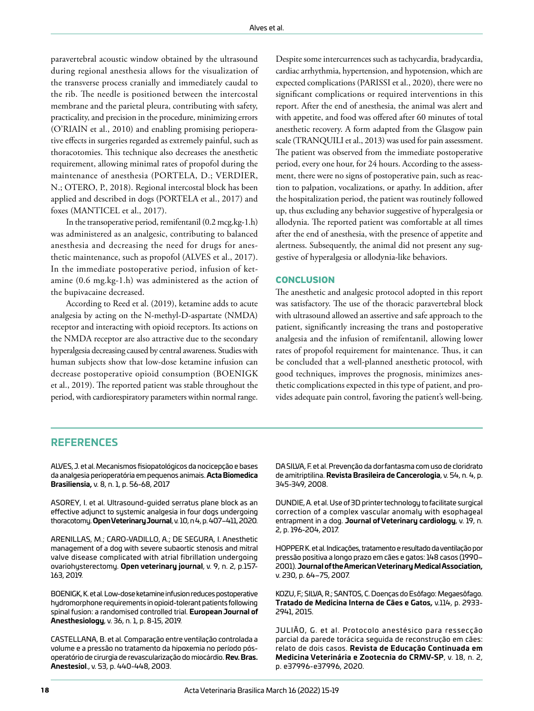paravertebral acoustic window obtained by the ultrasound during regional anesthesia allows for the visualization of the transverse process cranially and immediately caudal to the rib. The needle is positioned between the intercostal membrane and the parietal pleura, contributing with safety, practicality, and precision in the procedure, minimizing errors (O'RIAIN et al., 2010) and enabling promising perioperative effects in surgeries regarded as extremely painful, such as thoracotomies. This technique also decreases the anesthetic requirement, allowing minimal rates of propofol during the maintenance of anesthesia (PORTELA, D.; VERDIER, N.; OTERO, P., 2018). Regional intercostal block has been applied and described in dogs (PORTELA et al., 2017) and foxes (MANTICEL et al., 2017).

In the transoperative period, remifentanil (0.2 [mcg.kg](http://mcg.kg)-1.h) was administered as an analgesic, contributing to balanced anesthesia and decreasing the need for drugs for anesthetic maintenance, such as propofol (ALVES et al., 2017). In the immediate postoperative period, infusion of ketamine (0.6 [mg.kg](http://mg.kg)-1.h) was administered as the action of the bupivacaine decreased.

According to Reed et al. (2019), ketamine adds to acute analgesia by acting on the N-methyl-D-aspartate (NMDA) receptor and interacting with opioid receptors. Its actions on the NMDA receptor are also attractive due to the secondary hyperalgesia decreasing caused by central awareness. Studies with human subjects show that low-dose ketamine infusion can decrease postoperative opioid consumption (BOENIGK et al., 2019). The reported patient was stable throughout the period, with cardiorespiratory parameters within normal range.

Despite some intercurrences such as tachycardia, bradycardia, cardiac arrhythmia, hypertension, and hypotension, which are expected complications (PARISSI et al., 2020), there were no significant complications or required interventions in this report. After the end of anesthesia, the animal was alert and with appetite, and food was offered after 60 minutes of total anesthetic recovery. A form adapted from the Glasgow pain scale (TRANQUILI et al., 2013) was used for pain assessment. The patient was observed from the immediate postoperative period, every one hour, for 24 hours. According to the assessment, there were no signs of postoperative pain, such as reaction to palpation, vocalizations, or apathy. In addition, after the hospitalization period, the patient was routinely followed up, thus excluding any behavior suggestive of hyperalgesia or allodynia. The reported patient was comfortable at all times after the end of anesthesia, with the presence of appetite and alertness. Subsequently, the animal did not present any suggestive of hyperalgesia or allodynia-like behaviors.

#### **CONCLUSION**

The anesthetic and analgesic protocol adopted in this report was satisfactory. The use of the thoracic paravertebral block with ultrasound allowed an assertive and safe approach to the patient, significantly increasing the trans and postoperative analgesia and the infusion of remifentanil, allowing lower rates of propofol requirement for maintenance. Thus, it can be concluded that a well-planned anesthetic protocol, with good techniques, improves the prognosis, minimizes anesthetic complications expected in this type of patient, and provides adequate pain control, favoring the patient's well-being.

### **REFERENCES**

ALVES, J. et al. Mecanismos fisiopatológicos da nocicepção e bases da analgesia perioperatória em pequenos animais. **Acta Biomedica Brasiliensia,** v. 8, n. 1, p. 56-68, 2017

ASOREY, I. et al. Ultrasound-guided serratus plane block as an effective adjunct to systemic analgesia in four dogs undergoing thoracotomy. **Open Veterinary Journal**, v. 10, n 4, p. 407–411, 2020.

ARENILLAS, M.; CARO-VADILLO, A.; DE SEGURA, I. Anesthetic management of a dog with severe subaortic stenosis and mitral valve disease complicated with atrial fibrillation undergoing ovariohysterectomy. **Open veterinary journal**, v. 9, n. 2, p.157- 163, 2019.

BOENIGK, K. etal. Low-dose ketamine infusion reduces postoperative hydromorphone requirements in opioid-tolerant patients following spinal fusion: a randomised controlled trial. **European Journal of Anesthesiology**, v. 36, n. 1, p. 8-15, 2019.

CASTELLANA, B. et al. Comparação entre ventilação controlada a volume e a pressão no tratamento da hipoxemia no período pósoperatório de cirurgia de revascularização do miocárdio. **Rev. Bras. Anestesiol**., v. 53, p. 440-448, 2003.

DA SILVA, F. et al. Prevenção da dor fantasma com uso de cloridrato de amitriptilina. **Revista Brasileira de Cancerologia**, v. 54, n. 4, p. 345-349, 2008.

DUNDIE, A. et al. Use of 3D printer technology to facilitate surgical correction of a complex vascular anomaly with esophageal entrapment in a dog. **Journal of Veterinary cardiology**, v. 19, n. 2, p. 196-204, 2017.

HOPPER K. etal. Indicações, tratamento e resultado da ventilação por pressão positiva a longo prazo em cães e gatos: 148 casos (1990– 2001). **Journal of the American Veterinary Medical Association,**  v. 230, p. 64–75, 2007.

KOZU, F.; SILVA, R.; SANTOS, C. Doenças do Esôfago: Megaesôfago. **Tratado de Medicina Interna de Cães e Gatos,** v.114, p. 2933- 2941, 2015.

JULIÃO, G. et al. Protocolo anestésico para ressecção parcial da parede torácica seguida de reconstrução em cães: relato de dois casos. **Revista de Educação Continuada em Medicina Veterinária e Zootecnia do CRMV-SP**, v. 18, n. 2, p. e37996-e37996, 2020.